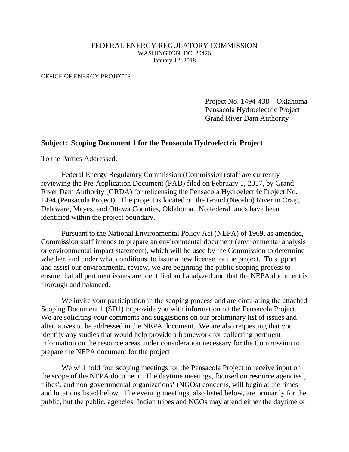#### FEDERAL ENERGY REGULATORY COMMISSION WASHINGTON, DC 20426 January 12, 2018

#### OFFICE OF ENERGY PROJECTS

 Project No. 1494-438 – Oklahoma Pensacola Hydroelectric Project Grand River Dam Authority

#### **Subject: Scoping Document 1 for the Pensacola Hydroelectric Project**

To the Parties Addressed:

Federal Energy Regulatory Commission (Commission) staff are currently reviewing the Pre-Application Document (PAD) filed on February 1, 2017, by Grand River Dam Authority (GRDA) for relicensing the Pensacola Hydroelectric Project No. 1494 (Pensacola Project). The project is located on the Grand (Neosho) River in Craig, Delaware, Mayes, and Ottawa Counties, Oklahoma. No federal lands have been identified within the project boundary.

Pursuant to the National Environmental Policy Act (NEPA) of 1969, as amended, Commission staff intends to prepare an environmental document (environmental analysis or environmental impact statement), which will be used by the Commission to determine whether, and under what conditions, to issue a new license for the project. To support and assist our environmental review, we are beginning the public scoping process to ensure that all pertinent issues are identified and analyzed and that the NEPA document is thorough and balanced.

We invite your participation in the scoping process and are circulating the attached Scoping Document 1 (SD1) to provide you with information on the Pensacola Project. We are soliciting your comments and suggestions on our preliminary list of issues and alternatives to be addressed in the NEPA document. We are also requesting that you identify any studies that would help provide a framework for collecting pertinent information on the resource areas under consideration necessary for the Commission to prepare the NEPA document for the project.

We will hold four scoping meetings for the Pensacola Project to receive input on the scope of the NEPA document. The daytime meetings, focused on resource agencies', tribes', and non-governmental organizations' (NGOs) concerns, will begin at the times and locations listed below. The evening meetings, also listed below, are primarily for the public, but the public, agencies, Indian tribes and NGOs may attend either the daytime or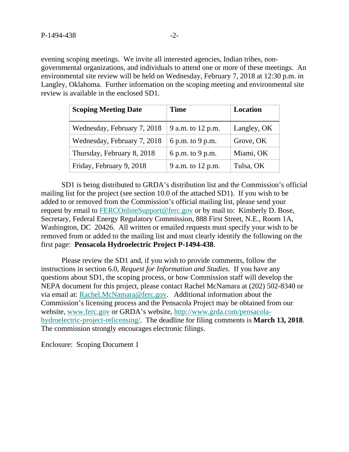evening scoping meetings. We invite all interested agencies, Indian tribes, nongovernmental organizations, and individuals to attend one or more of these meetings. An environmental site review will be held on Wednesday, February 7, 2018 at 12:30 p.m. in Langley, Oklahoma. Further information on the scoping meeting and environmental site review is available in the enclosed SD1.

| <b>Scoping Meeting Date</b> | <b>Time</b>       | Location    |
|-----------------------------|-------------------|-------------|
| Wednesday, February 7, 2018 | 9 a.m. to 12 p.m. | Langley, OK |
| Wednesday, February 7, 2018 | 6 p.m. to 9 p.m.  | Grove, OK   |
| Thursday, February 8, 2018  | 6 p.m. to 9 p.m.  | Miami, OK   |
| Friday, February 9, 2018    | 9 a.m. to 12 p.m. | Tulsa, OK   |

SD1 is being distributed to GRDA's distribution list and the Commission's official mailing list for the project (see section 10.0 of the attached SD1). If you wish to be added to or removed from the Commission's official mailing list, please send your request by email to FERCOnlineSupport@ferc.gov or by mail to: Kimberly D. Bose, Secretary, Federal Energy Regulatory Commission, 888 First Street, N.E., Room 1A, Washington, DC 20426. All written or emailed requests must specify your wish to be removed from or added to the mailing list and must clearly identify the following on the first page: **Pensacola Hydroelectric Project P-1494-438**.

Please review the SD1 and, if you wish to provide comments, follow the instructions in section 6.0, *Request for Information and Studies*. If you have any questions about SD1, the scoping process, or how Commission staff will develop the NEPA document for this project, please contact Rachel McNamara at (202) 502-8340 or via email at: Rachel.McNamara@ferc.gov. Additional information about the Commission's licensing process and the Pensacola Project may be obtained from our website, www.ferc.gov or GRDA's website, http://www.grda.com/pensacolahydroelectric-project-relicensing/. The deadline for filing comments is **March 13, 2018**. The commission strongly encourages electronic filings.

Enclosure: Scoping Document 1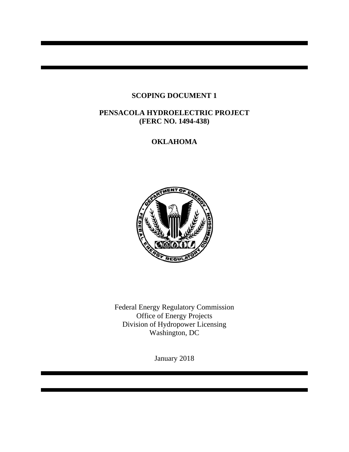## **SCOPING DOCUMENT 1**

### **PENSACOLA HYDROELECTRIC PROJECT (FERC NO. 1494-438)**

# **OKLAHOMA**



Federal Energy Regulatory Commission Office of Energy Projects Division of Hydropower Licensing Washington, DC

January 2018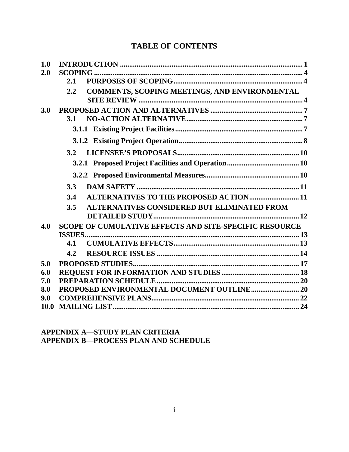# **TABLE OF CONTENTS**

| 1.0  |                                                                 |  |
|------|-----------------------------------------------------------------|--|
| 2.0  |                                                                 |  |
|      | 2.1                                                             |  |
|      | <b>COMMENTS, SCOPING MEETINGS, AND ENVIRONMENTAL</b><br>$2.2\,$ |  |
| 3.0  |                                                                 |  |
|      | 3.1                                                             |  |
|      |                                                                 |  |
|      |                                                                 |  |
|      | 3.2                                                             |  |
|      |                                                                 |  |
|      |                                                                 |  |
|      | 3.3                                                             |  |
|      | <b>ALTERNATIVES TO THE PROPOSED ACTION 11</b><br>3.4            |  |
|      | <b>ALTERNATIVES CONSIDERED BUT ELIMINATED FROM</b><br>3.5       |  |
|      |                                                                 |  |
| 4.0  | <b>SCOPE OF CUMULATIVE EFFECTS AND SITE-SPECIFIC RESOURCE</b>   |  |
|      |                                                                 |  |
|      | 4.1                                                             |  |
|      | 4.2                                                             |  |
| 5.0  |                                                                 |  |
| 6.0  |                                                                 |  |
| 7.0  |                                                                 |  |
| 8.0  |                                                                 |  |
| 9.0  |                                                                 |  |
| 10.0 |                                                                 |  |

# **APPENDIX A**—**STUDY PLAN CRITERIA APPENDIX B**—**PROCESS PLAN AND SCHEDULE**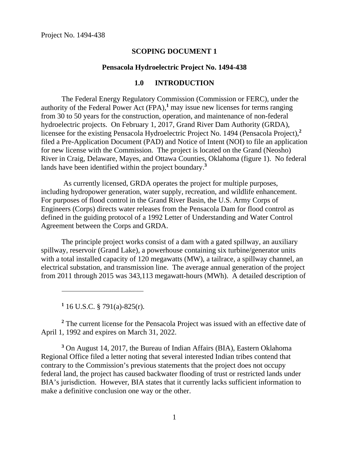#### **SCOPING DOCUMENT 1**

#### **Pensacola Hydroelectric Project No. 1494-438**

#### **1.0 INTRODUCTION**

The Federal Energy Regulatory Commission (Commission or FERC), under the authority of the Federal Power Act  $(FPA)$ ,<sup>1</sup> may issue new licenses for terms ranging from 30 to 50 years for the construction, operation, and maintenance of non-federal hydroelectric projects. On February 1, 2017, Grand River Dam Authority (GRDA), licensee for the existing Pensacola Hydroelectric Project No. 1494 (Pensacola Project),**<sup>2</sup>** filed a Pre-Application Document (PAD) and Notice of Intent (NOI) to file an application for new license with the Commission. The project is located on the Grand (Neosho) River in Craig, Delaware, Mayes, and Ottawa Counties, Oklahoma (figure 1). No federal lands have been identified within the project boundary.**<sup>3</sup>**

 As currently licensed, GRDA operates the project for multiple purposes, including hydropower generation, water supply, recreation, and wildlife enhancement. For purposes of flood control in the Grand River Basin, the U.S. Army Corps of Engineers (Corps) directs water releases from the Pensacola Dam for flood control as defined in the guiding protocol of a 1992 Letter of Understanding and Water Control Agreement between the Corps and GRDA.

The principle project works consist of a dam with a gated spillway, an auxiliary spillway, reservoir (Grand Lake), a powerhouse containing six turbine/generator units with a total installed capacity of 120 megawatts (MW), a tailrace, a spillway channel, an electrical substation, and transmission line. The average annual generation of the project from 2011 through 2015 was 343,113 megawatt-hours (MWh). A detailed description of

**1** 16 U.S.C. § 791(a)-825(r).

<sup>2</sup> The current license for the Pensacola Project was issued with an effective date of April 1, 1992 and expires on March 31, 2022.

**3** On August 14, 2017, the Bureau of Indian Affairs (BIA), Eastern Oklahoma Regional Office filed a letter noting that several interested Indian tribes contend that contrary to the Commission's previous statements that the project does not occupy federal land, the project has caused backwater flooding of trust or restricted lands under BIA's jurisdiction. However, BIA states that it currently lacks sufficient information to make a definitive conclusion one way or the other.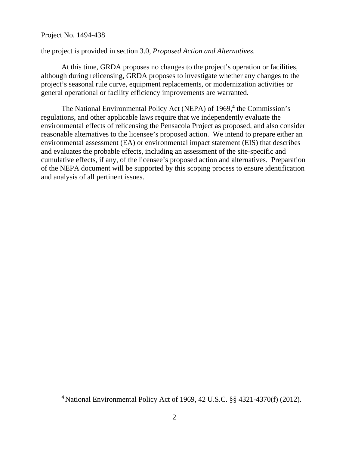$\overline{a}$ 

the project is provided in section 3.0, *Proposed Action and Alternatives*.

At this time, GRDA proposes no changes to the project's operation or facilities, although during relicensing, GRDA proposes to investigate whether any changes to the project's seasonal rule curve, equipment replacements, or modernization activities or general operational or facility efficiency improvements are warranted.

The National Environmental Policy Act (NEPA) of 1969,<sup>4</sup> the Commission's regulations, and other applicable laws require that we independently evaluate the environmental effects of relicensing the Pensacola Project as proposed, and also consider reasonable alternatives to the licensee's proposed action. We intend to prepare either an environmental assessment (EA) or environmental impact statement (EIS) that describes and evaluates the probable effects, including an assessment of the site-specific and cumulative effects, if any, of the licensee's proposed action and alternatives. Preparation of the NEPA document will be supported by this scoping process to ensure identification and analysis of all pertinent issues.

**<sup>4</sup>** National Environmental Policy Act of 1969, 42 U.S.C. §§ 4321-4370(f) (2012).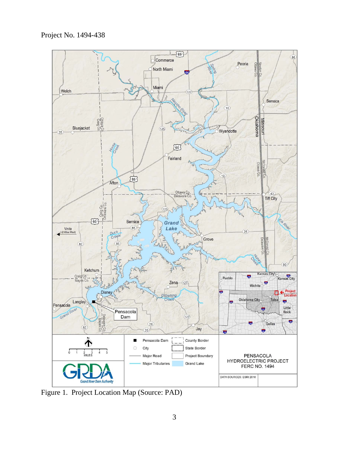Project No. 1494-438



Figure 1. Project Location Map (Source: PAD)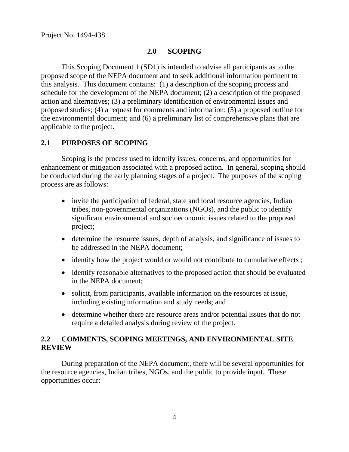# **2.0 SCOPING**

This Scoping Document 1 (SD1) is intended to advise all participants as to the proposed scope of the NEPA document and to seek additional information pertinent to this analysis. This document contains: (1) a description of the scoping process and schedule for the development of the NEPA document; (2) a description of the proposed action and alternatives; (3) a preliminary identification of environmental issues and proposed studies; (4) a request for comments and information; (5) a proposed outline for the environmental document; and (6) a preliminary list of comprehensive plans that are applicable to the project.

# **2.1 PURPOSES OF SCOPING**

Scoping is the process used to identify issues, concerns, and opportunities for enhancement or mitigation associated with a proposed action. In general, scoping should be conducted during the early planning stages of a project. The purposes of the scoping process are as follows:

- invite the participation of federal, state and local resource agencies, Indian tribes, non-governmental organizations (NGOs), and the public to identify significant environmental and socioeconomic issues related to the proposed project;
- determine the resource issues, depth of analysis, and significance of issues to be addressed in the NEPA document;
- identify how the project would or would not contribute to cumulative effects;
- identify reasonable alternatives to the proposed action that should be evaluated in the NEPA document;
- solicit, from participants, available information on the resources at issue, including existing information and study needs; and
- determine whether there are resource areas and/or potential issues that do not require a detailed analysis during review of the project.

## **2.2 COMMENTS, SCOPING MEETINGS, AND ENVIRONMENTAL SITE REVIEW**

During preparation of the NEPA document, there will be several opportunities for the resource agencies, Indian tribes, NGOs, and the public to provide input. These opportunities occur: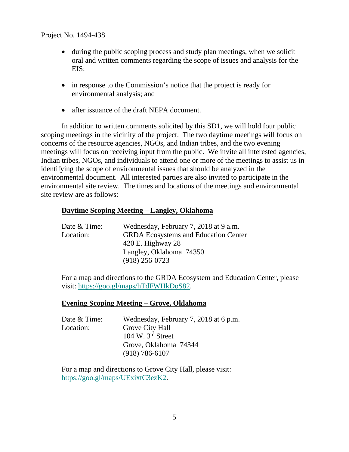- during the public scoping process and study plan meetings, when we solicit oral and written comments regarding the scope of issues and analysis for the EIS;
- in response to the Commission's notice that the project is ready for environmental analysis; and
- after issuance of the draft NEPA document.

In addition to written comments solicited by this SD1, we will hold four public scoping meetings in the vicinity of the project. The two daytime meetings will focus on concerns of the resource agencies, NGOs, and Indian tribes, and the two evening meetings will focus on receiving input from the public. We invite all interested agencies, Indian tribes, NGOs, and individuals to attend one or more of the meetings to assist us in identifying the scope of environmental issues that should be analyzed in the environmental document. All interested parties are also invited to participate in the environmental site review. The times and locations of the meetings and environmental site review are as follows:

### **Daytime Scoping Meeting – Langley, Oklahoma**

| Date & Time: | Wednesday, February 7, 2018 at 9 a.m.       |  |  |
|--------------|---------------------------------------------|--|--|
| Location:    | <b>GRDA</b> Ecosystems and Education Center |  |  |
|              | 420 E. Highway $28$                         |  |  |
|              | Langley, Oklahoma 74350                     |  |  |
|              | $(918)$ 256-0723                            |  |  |

For a map and directions to the GRDA Ecosystem and Education Center, please visit: https://goo.gl/maps/hTdFWHkDoS82.

#### **Evening Scoping Meeting – Grove, Oklahoma**

| Date & Time: | Wednesday, February 7, 2018 at 6 p.m. |  |  |
|--------------|---------------------------------------|--|--|
| Location:    | Grove City Hall                       |  |  |
|              | 104 W. $3rd$ Street                   |  |  |
|              | Grove, Oklahoma 74344                 |  |  |
|              | $(918) 786 - 6107$                    |  |  |

For a map and directions to Grove City Hall, please visit: https://goo.gl/maps/UExixtC3ezK2.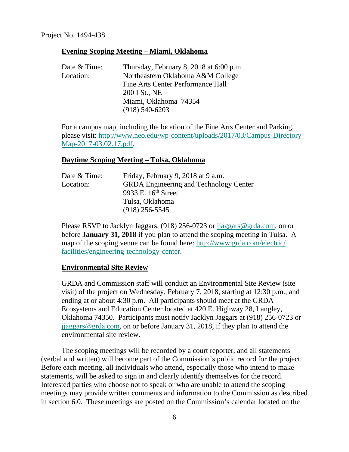#### **Evening Scoping Meeting – Miami, Oklahoma**

| Date & Time: | Thursday, February 8, 2018 at 6:00 p.m. |
|--------------|-----------------------------------------|
| Location:    | Northeastern Oklahoma A&M College       |
|              | Fine Arts Center Performance Hall       |
|              | 200 I St., NE                           |
|              | Miami, Oklahoma 74354                   |
|              | $(918) 540 - 6203$                      |
|              |                                         |

For a campus map, including the location of the Fine Arts Center and Parking, please visit: http://www.neo.edu/wp-content/uploads/2017/03/Campus-Directory-Map-2017-03.02.17.pdf.

#### **Daytime Scoping Meeting – Tulsa, Oklahoma**

| Date & Time: | Friday, February 9, 2018 at 9 a.m.            |
|--------------|-----------------------------------------------|
| Location:    | <b>GRDA</b> Engineering and Technology Center |
|              | 9933 E. 16 <sup>th</sup> Street               |
|              | Tulsa, Oklahoma                               |
|              | $(918)$ 256-5545                              |

Please RSVP to Jacklyn Jaggars, (918) 256-0723 or jjaggars@grda.com, on or before **January 31, 2018** if you plan to attend the scoping meeting in Tulsa. A map of the scoping venue can be found here: http://www.grda.com/electric/ facilities/engineering-technology-center.

#### **Environmental Site Review**

GRDA and Commission staff will conduct an Environmental Site Review (site visit) of the project on Wednesday, February 7, 2018, starting at 12:30 p.m., and ending at or about 4:30 p.m. All participants should meet at the GRDA Ecosystems and Education Center located at 420 E. Highway 28, Langley, Oklahoma 74350. Participants must notify Jacklyn Jaggars at (918) 256-0723 or jjaggars@grda.com, on or before January 31, 2018, if they plan to attend the environmental site review.

The scoping meetings will be recorded by a court reporter, and all statements (verbal and written) will become part of the Commission's public record for the project. Before each meeting, all individuals who attend, especially those who intend to make statements, will be asked to sign in and clearly identify themselves for the record. Interested parties who choose not to speak or who are unable to attend the scoping meetings may provide written comments and information to the Commission as described in section 6.0. These meetings are posted on the Commission's calendar located on the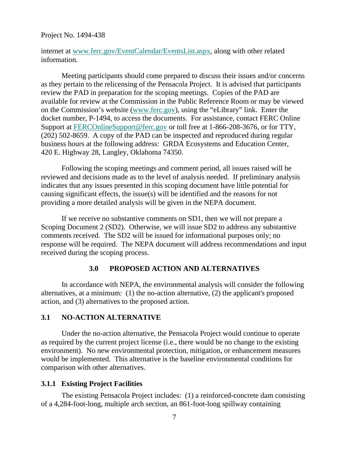internet at www.ferc.gov/EventCalendar/EventsList.aspx, along with other related information.

Meeting participants should come prepared to discuss their issues and/or concerns as they pertain to the relicensing of the Pensacola Project. It is advised that participants review the PAD in preparation for the scoping meetings. Copies of the PAD are available for review at the Commission in the Public Reference Room or may be viewed on the Commission's website (www.ferc.gov), using the "eLibrary" link. Enter the docket number, P-1494, to access the documents. For assistance, contact FERC Online Support at FERCOnlineSupport@ferc.gov or toll free at 1-866-208-3676, or for TTY, (202) 502-8659. A copy of the PAD can be inspected and reproduced during regular business hours at the following address: GRDA Ecosystems and Education Center, 420 E. Highway 28, Langley, Oklahoma 74350.

Following the scoping meetings and comment period, all issues raised will be reviewed and decisions made as to the level of analysis needed. If preliminary analysis indicates that any issues presented in this scoping document have little potential for causing significant effects, the issue(s) will be identified and the reasons for not providing a more detailed analysis will be given in the NEPA document.

If we receive no substantive comments on SD1, then we will not prepare a Scoping Document 2 (SD2). Otherwise, we will issue SD2 to address any substantive comments received. The SD2 will be issued for informational purposes only; no response will be required. The NEPA document will address recommendations and input received during the scoping process.

#### **3.0 PROPOSED ACTION AND ALTERNATIVES**

In accordance with NEPA, the environmental analysis will consider the following alternatives, at a minimum: (1) the no-action alternative, (2) the applicant's proposed action, and (3) alternatives to the proposed action.

#### **3.1 NO-ACTION ALTERNATIVE**

Under the no-action alternative, the Pensacola Project would continue to operate as required by the current project license (i.e., there would be no change to the existing environment). No new environmental protection, mitigation, or enhancement measures would be implemented. This alternative is the baseline environmental conditions for comparison with other alternatives.

#### **3.1.1 Existing Project Facilities**

The existing Pensacola Project includes: (1) a reinforced-concrete dam consisting of a 4,284-foot-long, multiple arch section, an 861-foot-long spillway containing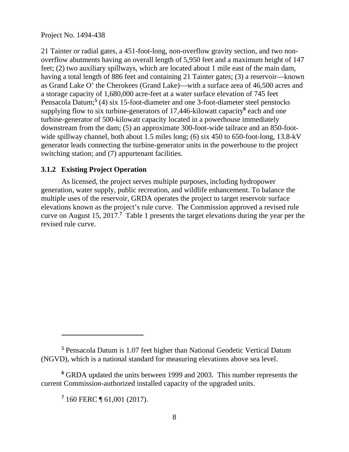21 Tainter or radial gates, a 451-foot-long, non-overflow gravity section, and two nonoverflow abutments having an overall length of 5,950 feet and a maximum height of 147 feet; (2) two auxiliary spillways, which are located about 1 mile east of the main dam, having a total length of 886 feet and containing 21 Tainter gates; (3) a reservoir—known as Grand Lake O' the Cherokees (Grand Lake)—with a surface area of 46,500 acres and a storage capacity of 1,680,000 acre-feet at a water surface elevation of 745 feet Pensacola Datum;<sup>5</sup> (4) six 15-foot-diameter and one 3-foot-diameter steel penstocks supplying flow to six turbine-generators of 17,446-kilowatt capacity<sup>6</sup> each and one turbine-generator of 500-kilowatt capacity located in a powerhouse immediately downstream from the dam; (5) an approximate 300-foot-wide tailrace and an 850-footwide spillway channel, both about 1.5 miles long; (6) six 450 to 650-foot-long, 13.8-kV generator leads connecting the turbine-generator units in the powerhouse to the project switching station; and (7) appurtenant facilities.

## **3.1.2 Existing Project Operation**

As licensed, the project serves multiple purposes, including hydropower generation, water supply, public recreation, and wildlife enhancement. To balance the multiple uses of the reservoir, GRDA operates the project to target reservoir surface elevations known as the project's rule curve. The Commission approved a revised rule curve on August 15, 2017.**<sup>7</sup>** Table 1 presents the target elevations during the year per the revised rule curve.

 $\overline{a}$ 

**<sup>5</sup>** Pensacola Datum is 1.07 feet higher than National Geodetic Vertical Datum (NGVD), which is a national standard for measuring elevations above sea level.

**<sup>6</sup>** GRDA updated the units between 1999 and 2003. This number represents the current Commission-authorized installed capacity of the upgraded units.

**<sup>7</sup>** 160 FERC ¶ 61,001 (2017).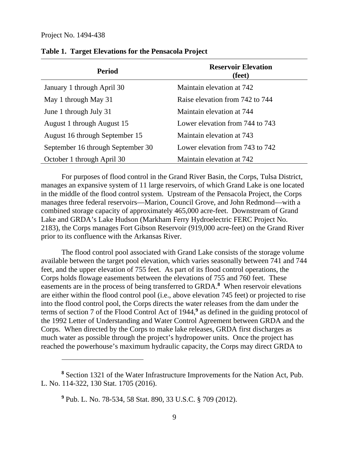| <b>Period</b>                     | <b>Reservoir Elevation</b><br>(feet) |
|-----------------------------------|--------------------------------------|
| January 1 through April 30        | Maintain elevation at 742            |
| May 1 through May 31              | Raise elevation from 742 to 744      |
| June 1 through July 31            | Maintain elevation at 744            |
| August 1 through August 15        | Lower elevation from 744 to 743      |
| August 16 through September 15    | Maintain elevation at 743            |
| September 16 through September 30 | Lower elevation from 743 to 742      |
| October 1 through April 30        | Maintain elevation at 742            |

#### **Table 1. Target Elevations for the Pensacola Project**

For purposes of flood control in the Grand River Basin, the Corps, Tulsa District, manages an expansive system of 11 large reservoirs, of which Grand Lake is one located in the middle of the flood control system. Upstream of the Pensacola Project, the Corps manages three federal reservoirs—Marion, Council Grove, and John Redmond—with a combined storage capacity of approximately 465,000 acre-feet. Downstream of Grand Lake and GRDA's Lake Hudson (Markham Ferry Hydroelectric FERC Project No. 2183), the Corps manages Fort Gibson Reservoir (919,000 acre-feet) on the Grand River prior to its confluence with the Arkansas River.

The flood control pool associated with Grand Lake consists of the storage volume available between the target pool elevation, which varies seasonally between 741 and 744 feet, and the upper elevation of 755 feet. As part of its flood control operations, the Corps holds flowage easements between the elevations of 755 and 760 feet. These easements are in the process of being transferred to GRDA.<sup>8</sup> When reservoir elevations are either within the flood control pool (i.e., above elevation 745 feet) or projected to rise into the flood control pool, the Corps directs the water releases from the dam under the terms of section 7 of the Flood Control Act of 1944,**<sup>9</sup>** as defined in the guiding protocol of the 1992 Letter of Understanding and Water Control Agreement between GRDA and the Corps. When directed by the Corps to make lake releases, GRDA first discharges as much water as possible through the project's hydropower units. Once the project has reached the powerhouse's maximum hydraulic capacity, the Corps may direct GRDA to

**<sup>8</sup>** Section 1321 of the Water Infrastructure Improvements for the Nation Act, Pub. L. No. 114-322, 130 Stat. 1705 (2016).

**<sup>9</sup>** Pub. L. No. 78-534, 58 Stat. 890, 33 U.S.C. § 709 (2012).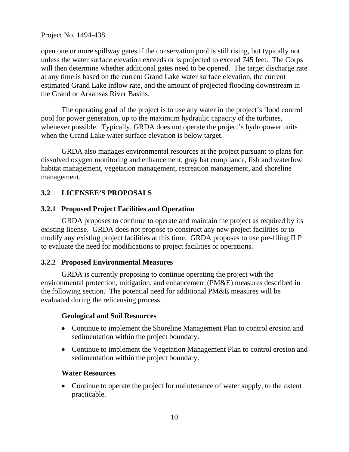open one or more spillway gates if the conservation pool is still rising, but typically not unless the water surface elevation exceeds or is projected to exceed 745 feet. The Corps will then determine whether additional gates need to be opened. The target discharge rate at any time is based on the current Grand Lake water surface elevation, the current estimated Grand Lake inflow rate, and the amount of projected flooding downstream in the Grand or Arkansas River Basins.

The operating goal of the project is to use any water in the project's flood control pool for power generation, up to the maximum hydraulic capacity of the turbines, whenever possible. Typically, GRDA does not operate the project's hydropower units when the Grand Lake water surface elevation is below target.

GRDA also manages environmental resources at the project pursuant to plans for: dissolved oxygen monitoring and enhancement, gray bat compliance, fish and waterfowl habitat management, vegetation management, recreation management, and shoreline management.

## **3.2 LICENSEE'S PROPOSALS**

### **3.2.1 Proposed Project Facilities and Operation**

GRDA proposes to continue to operate and maintain the project as required by its existing license. GRDA does not propose to construct any new project facilities or to modify any existing project facilities at this time. GRDA proposes to use pre-filing ILP to evaluate the need for modifications to project facilities or operations.

### **3.2.2 Proposed Environmental Measures**

GRDA is currently proposing to continue operating the project with the environmental protection, mitigation, and enhancement (PM&E) measures described in the following section. The potential need for additional PM&E measures will be evaluated during the relicensing process.

#### **Geological and Soil Resources**

- Continue to implement the Shoreline Management Plan to control erosion and sedimentation within the project boundary.
- Continue to implement the Vegetation Management Plan to control erosion and sedimentation within the project boundary.

#### **Water Resources**

• Continue to operate the project for maintenance of water supply, to the extent practicable.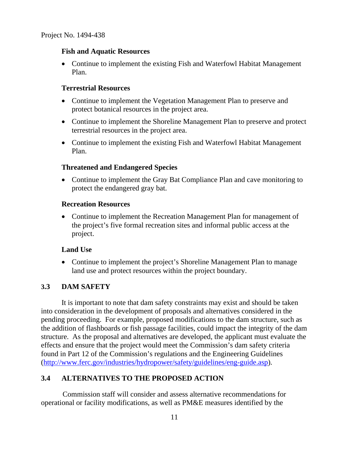#### **Fish and Aquatic Resources**

• Continue to implement the existing Fish and Waterfowl Habitat Management Plan.

#### **Terrestrial Resources**

- Continue to implement the Vegetation Management Plan to preserve and protect botanical resources in the project area.
- Continue to implement the Shoreline Management Plan to preserve and protect terrestrial resources in the project area.
- Continue to implement the existing Fish and Waterfowl Habitat Management Plan.

#### **Threatened and Endangered Species**

• Continue to implement the Gray Bat Compliance Plan and cave monitoring to protect the endangered gray bat.

#### **Recreation Resources**

• Continue to implement the Recreation Management Plan for management of the project's five formal recreation sites and informal public access at the project.

### **Land Use**

• Continue to implement the project's Shoreline Management Plan to manage land use and protect resources within the project boundary.

### **3.3 DAM SAFETY**

It is important to note that dam safety constraints may exist and should be taken into consideration in the development of proposals and alternatives considered in the pending proceeding. For example, proposed modifications to the dam structure, such as the addition of flashboards or fish passage facilities, could impact the integrity of the dam structure. As the proposal and alternatives are developed, the applicant must evaluate the effects and ensure that the project would meet the Commission's dam safety criteria found in Part 12 of the Commission's regulations and the Engineering Guidelines (http://www.ferc.gov/industries/hydropower/safety/guidelines/eng-guide.asp).

### **3.4 ALTERNATIVES TO THE PROPOSED ACTION**

 Commission staff will consider and assess alternative recommendations for operational or facility modifications, as well as PM&E measures identified by the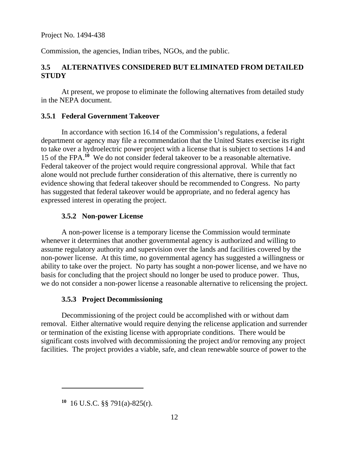Commission, the agencies, Indian tribes, NGOs, and the public.

# **3.5 ALTERNATIVES CONSIDERED BUT ELIMINATED FROM DETAILED STUDY**

At present, we propose to eliminate the following alternatives from detailed study in the NEPA document.

## **3.5.1 Federal Government Takeover**

In accordance with section 16.14 of the Commission's regulations, a federal department or agency may file a recommendation that the United States exercise its right to take over a hydroelectric power project with a license that is subject to sections 14 and 15 of the FPA.**<sup>10</sup>** We do not consider federal takeover to be a reasonable alternative. Federal takeover of the project would require congressional approval. While that fact alone would not preclude further consideration of this alternative, there is currently no evidence showing that federal takeover should be recommended to Congress. No party has suggested that federal takeover would be appropriate, and no federal agency has expressed interest in operating the project.

## **3.5.2 Non-power License**

A non-power license is a temporary license the Commission would terminate whenever it determines that another governmental agency is authorized and willing to assume regulatory authority and supervision over the lands and facilities covered by the non-power license. At this time, no governmental agency has suggested a willingness or ability to take over the project. No party has sought a non-power license, and we have no basis for concluding that the project should no longer be used to produce power. Thus, we do not consider a non-power license a reasonable alternative to relicensing the project.

### **3.5.3 Project Decommissioning**

Decommissioning of the project could be accomplished with or without dam removal. Either alternative would require denying the relicense application and surrender or termination of the existing license with appropriate conditions. There would be significant costs involved with decommissioning the project and/or removing any project facilities. The project provides a viable, safe, and clean renewable source of power to the

**<sup>10</sup>** 16 U.S.C. §§ 791(a)-825(r).

 $\overline{a}$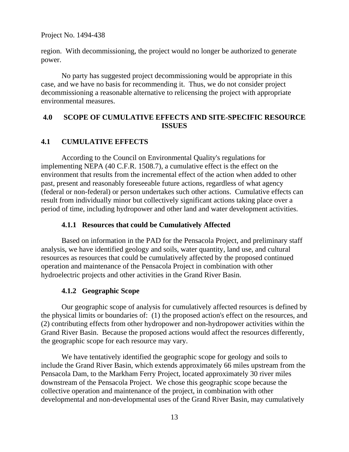region. With decommissioning, the project would no longer be authorized to generate power.

No party has suggested project decommissioning would be appropriate in this case, and we have no basis for recommending it. Thus, we do not consider project decommissioning a reasonable alternative to relicensing the project with appropriate environmental measures.

#### **4.0 SCOPE OF CUMULATIVE EFFECTS AND SITE-SPECIFIC RESOURCE ISSUES**

### **4.1 CUMULATIVE EFFECTS**

According to the Council on Environmental Quality's regulations for implementing NEPA (40 C.F.R. 1508.7), a cumulative effect is the effect on the environment that results from the incremental effect of the action when added to other past, present and reasonably foreseeable future actions, regardless of what agency (federal or non-federal) or person undertakes such other actions. Cumulative effects can result from individually minor but collectively significant actions taking place over a period of time, including hydropower and other land and water development activities.

#### **4.1.1 Resources that could be Cumulatively Affected**

Based on information in the PAD for the Pensacola Project, and preliminary staff analysis, we have identified geology and soils, water quantity, land use, and cultural resources as resources that could be cumulatively affected by the proposed continued operation and maintenance of the Pensacola Project in combination with other hydroelectric projects and other activities in the Grand River Basin.

### **4.1.2 Geographic Scope**

Our geographic scope of analysis for cumulatively affected resources is defined by the physical limits or boundaries of: (1) the proposed action's effect on the resources, and (2) contributing effects from other hydropower and non-hydropower activities within the Grand River Basin. Because the proposed actions would affect the resources differently, the geographic scope for each resource may vary.

We have tentatively identified the geographic scope for geology and soils to include the Grand River Basin, which extends approximately 66 miles upstream from the Pensacola Dam, to the Markham Ferry Project, located approximately 30 river miles downstream of the Pensacola Project. We chose this geographic scope because the collective operation and maintenance of the project, in combination with other developmental and non-developmental uses of the Grand River Basin, may cumulatively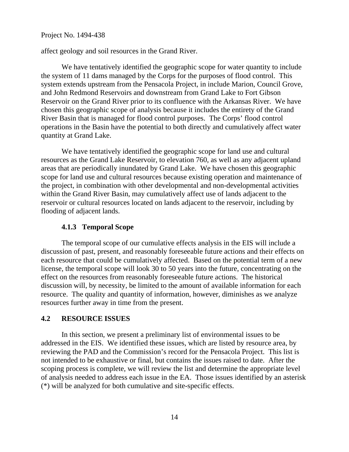affect geology and soil resources in the Grand River.

We have tentatively identified the geographic scope for water quantity to include the system of 11 dams managed by the Corps for the purposes of flood control. This system extends upstream from the Pensacola Project, in include Marion, Council Grove, and John Redmond Reservoirs and downstream from Grand Lake to Fort Gibson Reservoir on the Grand River prior to its confluence with the Arkansas River. We have chosen this geographic scope of analysis because it includes the entirety of the Grand River Basin that is managed for flood control purposes. The Corps' flood control operations in the Basin have the potential to both directly and cumulatively affect water quantity at Grand Lake.

We have tentatively identified the geographic scope for land use and cultural resources as the Grand Lake Reservoir, to elevation 760, as well as any adjacent upland areas that are periodically inundated by Grand Lake. We have chosen this geographic scope for land use and cultural resources because existing operation and maintenance of the project, in combination with other developmental and non-developmental activities within the Grand River Basin, may cumulatively affect use of lands adjacent to the reservoir or cultural resources located on lands adjacent to the reservoir, including by flooding of adjacent lands.

#### **4.1.3 Temporal Scope**

The temporal scope of our cumulative effects analysis in the EIS will include a discussion of past, present, and reasonably foreseeable future actions and their effects on each resource that could be cumulatively affected. Based on the potential term of a new license, the temporal scope will look 30 to 50 years into the future, concentrating on the effect on the resources from reasonably foreseeable future actions. The historical discussion will, by necessity, be limited to the amount of available information for each resource. The quality and quantity of information, however, diminishes as we analyze resources further away in time from the present.

#### **4.2 RESOURCE ISSUES**

In this section, we present a preliminary list of environmental issues to be addressed in the EIS. We identified these issues, which are listed by resource area, by reviewing the PAD and the Commission's record for the Pensacola Project. This list is not intended to be exhaustive or final, but contains the issues raised to date. After the scoping process is complete, we will review the list and determine the appropriate level of analysis needed to address each issue in the EA. Those issues identified by an asterisk (\*) will be analyzed for both cumulative and site-specific effects.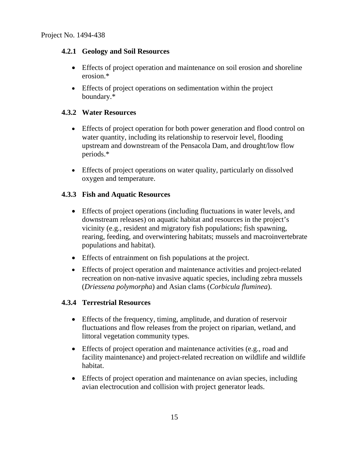### **4.2.1 Geology and Soil Resources**

- Effects of project operation and maintenance on soil erosion and shoreline erosion.\*
- Effects of project operations on sedimentation within the project boundary.\*

### **4.3.2 Water Resources**

- Effects of project operation for both power generation and flood control on water quantity, including its relationship to reservoir level, flooding upstream and downstream of the Pensacola Dam, and drought/low flow periods.\*
- Effects of project operations on water quality, particularly on dissolved oxygen and temperature.

## **4.3.3 Fish and Aquatic Resources**

- Effects of project operations (including fluctuations in water levels, and downstream releases) on aquatic habitat and resources in the project's vicinity (e.g., resident and migratory fish populations; fish spawning, rearing, feeding, and overwintering habitats; mussels and macroinvertebrate populations and habitat).
- Effects of entrainment on fish populations at the project.
- Effects of project operation and maintenance activities and project-related recreation on non-native invasive aquatic species, including zebra mussels (*Driessena polymorpha*) and Asian clams (*Corbicula fluminea*).

### **4.3.4 Terrestrial Resources**

- Effects of the frequency, timing, amplitude, and duration of reservoir fluctuations and flow releases from the project on riparian, wetland, and littoral vegetation community types.
- Effects of project operation and maintenance activities (e.g., road and facility maintenance) and project-related recreation on wildlife and wildlife habitat.
- Effects of project operation and maintenance on avian species, including avian electrocution and collision with project generator leads.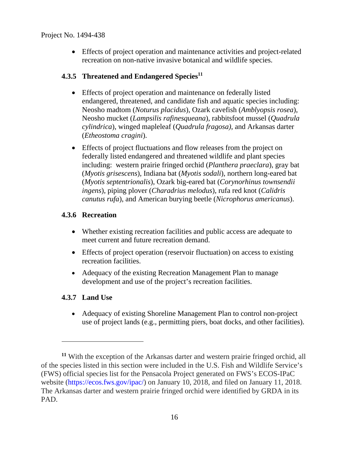Effects of project operation and maintenance activities and project-related recreation on non-native invasive botanical and wildlife species.

# **4.3.5 Threatened and Endangered Species**<sup>11</sup>

- Effects of project operation and maintenance on federally listed endangered, threatened, and candidate fish and aquatic species including: Neosho madtom (*Noturus placidus*), Ozark cavefish (*Amblyopsis rosea*), Neosho mucket (*Lampsilis rafinesqueana*), rabbitsfoot mussel (*Quadrula cylindrica*), winged mapleleaf (*Quadrula fragosa)*, and Arkansas darter (*Etheostoma cragini*).
- Effects of project fluctuations and flow releases from the project on federally listed endangered and threatened wildlife and plant species including: western prairie fringed orchid (*Planthera praeclara*), gray bat (*Myotis grisescens*), Indiana bat (*Myotis sodali*), northern long-eared bat (*Myotis septentrionalis*), Ozark big-eared bat (*Corynorhinus townsendii ingens*), piping plover (*Charadrius melodus*), rufa red knot (*Calidris canutus rufa*), and American burying beetle (*Nicrophorus americanus*).

## **4.3.6 Recreation**

- Whether existing recreation facilities and public access are adequate to meet current and future recreation demand.
- Effects of project operation (reservoir fluctuation) on access to existing recreation facilities.
- Adequacy of the existing Recreation Management Plan to manage development and use of the project's recreation facilities.

# **4.3.7 Land Use**

 $\overline{a}$ 

• Adequacy of existing Shoreline Management Plan to control non-project use of project lands (e.g., permitting piers, boat docks, and other facilities).

**<sup>11</sup>** With the exception of the Arkansas darter and western prairie fringed orchid, all of the species listed in this section were included in the U.S. Fish and Wildlife Service's (FWS) official species list for the Pensacola Project generated on FWS's ECOS-IPaC website (https://ecos.fws.gov/ipac/) on January 10, 2018, and filed on January 11, 2018. The Arkansas darter and western prairie fringed orchid were identified by GRDA in its PAD.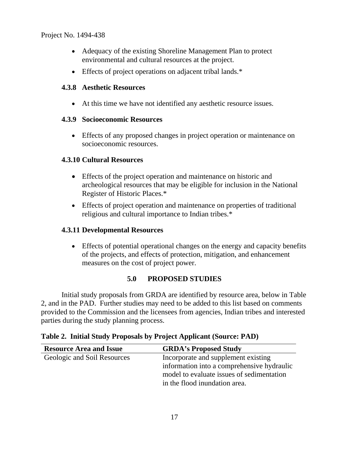- Adequacy of the existing Shoreline Management Plan to protect environmental and cultural resources at the project.
- Effects of project operations on adjacent tribal lands.\*

## **4.3.8 Aesthetic Resources**

At this time we have not identified any aesthetic resource issues.

### **4.3.9 Socioeconomic Resources**

 Effects of any proposed changes in project operation or maintenance on socioeconomic resources.

## **4.3.10 Cultural Resources**

- Effects of the project operation and maintenance on historic and archeological resources that may be eligible for inclusion in the National Register of Historic Places.\*
- Effects of project operation and maintenance on properties of traditional religious and cultural importance to Indian tribes.\*

### **4.3.11 Developmental Resources**

 Effects of potential operational changes on the energy and capacity benefits of the projects, and effects of protection, mitigation, and enhancement measures on the cost of project power.

# **5.0 PROPOSED STUDIES**

Initial study proposals from GRDA are identified by resource area, below in Table 2, and in the PAD. Further studies may need to be added to this list based on comments provided to the Commission and the licensees from agencies, Indian tribes and interested parties during the study planning process.

| <b>Resource Area and Issue</b> | <b>GRDA's Proposed Study</b>                                                                                                                                    |
|--------------------------------|-----------------------------------------------------------------------------------------------------------------------------------------------------------------|
| Geologic and Soil Resources    | Incorporate and supplement existing<br>information into a comprehensive hydraulic<br>model to evaluate issues of sedimentation<br>in the flood inundation area. |

**Table 2. Initial Study Proposals by Project Applicant (Source: PAD)**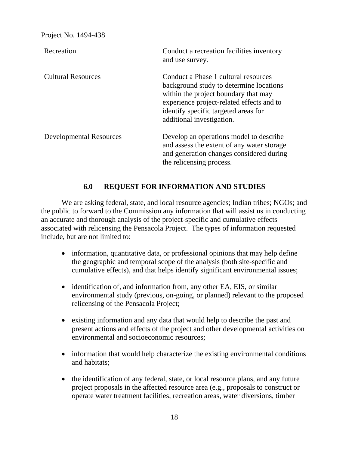| Recreation                     | Conduct a recreation facilities inventory<br>and use survey.                                                                                                                                                                              |
|--------------------------------|-------------------------------------------------------------------------------------------------------------------------------------------------------------------------------------------------------------------------------------------|
| <b>Cultural Resources</b>      | Conduct a Phase 1 cultural resources<br>background study to determine locations<br>within the project boundary that may<br>experience project-related effects and to<br>identify specific targeted areas for<br>additional investigation. |
| <b>Developmental Resources</b> | Develop an operations model to describe<br>and assess the extent of any water storage<br>and generation changes considered during<br>the relicensing process.                                                                             |

### **6.0 REQUEST FOR INFORMATION AND STUDIES**

We are asking federal, state, and local resource agencies; Indian tribes; NGOs; and the public to forward to the Commission any information that will assist us in conducting an accurate and thorough analysis of the project-specific and cumulative effects associated with relicensing the Pensacola Project. The types of information requested include, but are not limited to:

- information, quantitative data, or professional opinions that may help define the geographic and temporal scope of the analysis (both site-specific and cumulative effects), and that helps identify significant environmental issues;
- identification of, and information from, any other EA, EIS, or similar environmental study (previous, on-going, or planned) relevant to the proposed relicensing of the Pensacola Project;
- existing information and any data that would help to describe the past and present actions and effects of the project and other developmental activities on environmental and socioeconomic resources;
- information that would help characterize the existing environmental conditions and habitats;
- the identification of any federal, state, or local resource plans, and any future project proposals in the affected resource area (e.g., proposals to construct or operate water treatment facilities, recreation areas, water diversions, timber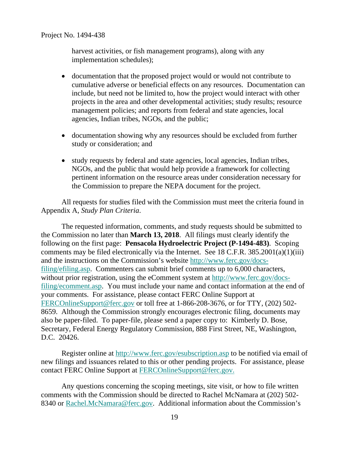harvest activities, or fish management programs), along with any implementation schedules);

- documentation that the proposed project would or would not contribute to cumulative adverse or beneficial effects on any resources. Documentation can include, but need not be limited to, how the project would interact with other projects in the area and other developmental activities; study results; resource management policies; and reports from federal and state agencies, local agencies, Indian tribes, NGOs, and the public;
- documentation showing why any resources should be excluded from further study or consideration; and
- study requests by federal and state agencies, local agencies, Indian tribes, NGOs, and the public that would help provide a framework for collecting pertinent information on the resource areas under consideration necessary for the Commission to prepare the NEPA document for the project.

All requests for studies filed with the Commission must meet the criteria found in Appendix A, *Study Plan Criteria*.

The requested information, comments, and study requests should be submitted to the Commission no later than **March 13, 2018**. All filings must clearly identify the following on the first page: **Pensacola Hydroelectric Project (P-1494-483)**. Scoping comments may be filed electronically via the Internet. See 18 C.F.R. 385.2001(a)(1)(iii) and the instructions on the Commission's website http://www.ferc.gov/docsfiling/efiling.asp. Commenters can submit brief comments up to 6,000 characters, without prior registration, using the eComment system at http://www.ferc.gov/docsfiling/ecomment.asp. You must include your name and contact information at the end of your comments. For assistance, please contact FERC Online Support at FERCOnlineSupport@ferc.gov or toll free at 1-866-208-3676, or for TTY, (202) 502- 8659. Although the Commission strongly encourages electronic filing, documents may also be paper-filed. To paper-file, please send a paper copy to: Kimberly D. Bose, Secretary, Federal Energy Regulatory Commission, 888 First Street, NE, Washington, D.C. 20426.

Register online at http://www.ferc.gov/esubscription.asp to be notified via email of new filings and issuances related to this or other pending projects. For assistance, please contact FERC Online Support at FERCOnlineSupport@ferc.gov.

Any questions concerning the scoping meetings, site visit, or how to file written comments with the Commission should be directed to Rachel McNamara at (202) 502- 8340 or Rachel.McNamara@ferc.gov. Additional information about the Commission's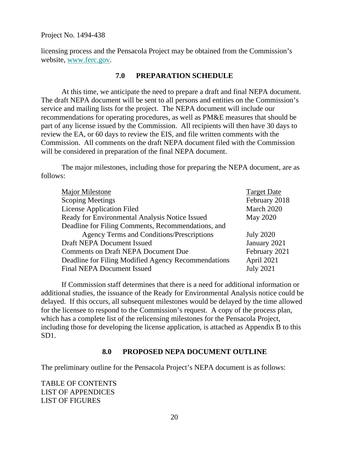licensing process and the Pensacola Project may be obtained from the Commission's website, www.ferc.gov.

#### **7.0 PREPARATION SCHEDULE**

At this time, we anticipate the need to prepare a draft and final NEPA document. The draft NEPA document will be sent to all persons and entities on the Commission's service and mailing lists for the project. The NEPA document will include our recommendations for operating procedures, as well as PM&E measures that should be part of any license issued by the Commission. All recipients will then have 30 days to review the EA, or 60 days to review the EIS, and file written comments with the Commission. All comments on the draft NEPA document filed with the Commission will be considered in preparation of the final NEPA document.

The major milestones, including those for preparing the NEPA document, are as follows:

| <b>Major Milestone</b>                              | <b>Target Date</b> |
|-----------------------------------------------------|--------------------|
| <b>Scoping Meetings</b>                             | February 2018      |
| <b>License Application Filed</b>                    | March 2020         |
| Ready for Environmental Analysis Notice Issued      | <b>May 2020</b>    |
| Deadline for Filing Comments, Recommendations, and  |                    |
| <b>Agency Terms and Conditions/Prescriptions</b>    | <b>July 2020</b>   |
| <b>Draft NEPA Document Issued</b>                   | January 2021       |
| <b>Comments on Draft NEPA Document Due</b>          | February 2021      |
| Deadline for Filing Modified Agency Recommendations | April 2021         |
| <b>Final NEPA Document Issued</b>                   | <b>July 2021</b>   |
|                                                     |                    |

If Commission staff determines that there is a need for additional information or additional studies, the issuance of the Ready for Environmental Analysis notice could be delayed. If this occurs, all subsequent milestones would be delayed by the time allowed for the licensee to respond to the Commission's request. A copy of the process plan, which has a complete list of the relicensing milestones for the Pensacola Project, including those for developing the license application, is attached as Appendix B to this SD1.

#### **8.0 PROPOSED NEPA DOCUMENT OUTLINE**

The preliminary outline for the Pensacola Project's NEPA document is as follows:

TABLE OF CONTENTS LIST OF APPENDICES LIST OF FIGURES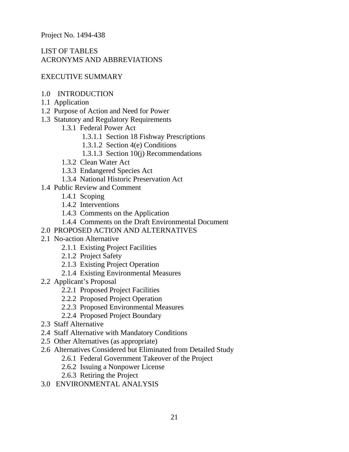# LIST OF TABLES ACRONYMS AND ABBREVIATIONS

### EXECUTIVE SUMMARY

- 1.0 INTRODUCTION
- 1.1 Application
- 1.2 Purpose of Action and Need for Power
- 1.3 Statutory and Regulatory Requirements
	- 1.3.1 Federal Power Act
		- 1.3.1.1 Section 18 Fishway Prescriptions
		- 1.3.1.2 Section 4(e) Conditions
		- 1.3.1.3 Section 10(j) Recommendations
	- 1.3.2 Clean Water Act
	- 1.3.3 Endangered Species Act
	- 1.3.4 National Historic Preservation Act
- 1.4 Public Review and Comment
	- 1.4.1 Scoping
	- 1.4.2 Interventions
	- 1.4.3 Comments on the Application
	- 1.4.4 Comments on the Draft Environmental Document
- 2.0 PROPOSED ACTION AND ALTERNATIVES
- 2.1 No-action Alternative
	- 2.1.1 Existing Project Facilities
	- 2.1.2 Project Safety
	- 2.1.3 Existing Project Operation
	- 2.1.4 Existing Environmental Measures
- 2.2 Applicant's Proposal
	- 2.2.1 Proposed Project Facilities
	- 2.2.2 Proposed Project Operation
	- 2.2.3 Proposed Environmental Measures
	- 2.2.4 Proposed Project Boundary
- 2.3 Staff Alternative
- 2.4 Staff Alternative with Mandatory Conditions
- 2.5 Other Alternatives (as appropriate)
- 2.6 Alternatives Considered but Eliminated from Detailed Study
	- 2.6.1 Federal Government Takeover of the Project
	- 2.6.2 Issuing a Nonpower License
	- 2.6.3 Retiring the Project
- 3.0 ENVIRONMENTAL ANALYSIS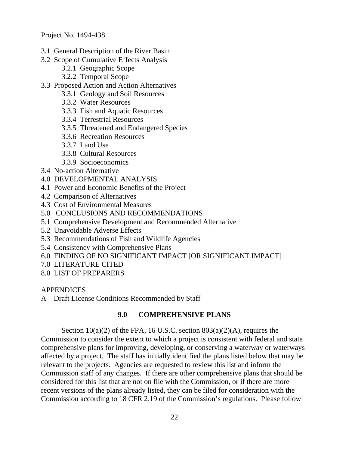- 3.1 General Description of the River Basin
- 3.2 Scope of Cumulative Effects Analysis
	- 3.2.1 Geographic Scope
	- 3.2.2 Temporal Scope
- 3.3 Proposed Action and Action Alternatives
	- 3.3.1 Geology and Soil Resources
	- 3.3.2 Water Resources
	- 3.3.3 Fish and Aquatic Resources
	- 3.3.4 Terrestrial Resources
	- 3.3.5 Threatened and Endangered Species
	- 3.3.6 Recreation Resources
	- 3.3.7 Land Use
	- 3.3.8 Cultural Resources
	- 3.3.9 Socioeconomics
- 3.4 No-action Alternative
- 4.0 DEVELOPMENTAL ANALYSIS
- 4.1 Power and Economic Benefits of the Project
- 4.2 Comparison of Alternatives
- 4.3 Cost of Environmental Measures
- 5.0 CONCLUSIONS AND RECOMMENDATIONS
- 5.1 Comprehensive Development and Recommended Alternative
- 5.2 Unavoidable Adverse Effects
- 5.3 Recommendations of Fish and Wildlife Agencies
- 5.4 Consistency with Comprehensive Plans
- 6.0 FINDING OF NO SIGNIFICANT IMPACT [OR SIGNIFICANT IMPACT]
- 7.0 LITERATURE CITED
- 8.0 LIST OF PREPARERS

#### **APPENDICES**

A—Draft License Conditions Recommended by Staff

#### **9.0 COMPREHENSIVE PLANS**

Section  $10(a)(2)$  of the FPA, 16 U.S.C. section  $803(a)(2)(A)$ , requires the Commission to consider the extent to which a project is consistent with federal and state comprehensive plans for improving, developing, or conserving a waterway or waterways affected by a project. The staff has initially identified the plans listed below that may be relevant to the projects. Agencies are requested to review this list and inform the Commission staff of any changes. If there are other comprehensive plans that should be considered for this list that are not on file with the Commission, or if there are more recent versions of the plans already listed, they can be filed for consideration with the Commission according to 18 CFR 2.19 of the Commission's regulations. Please follow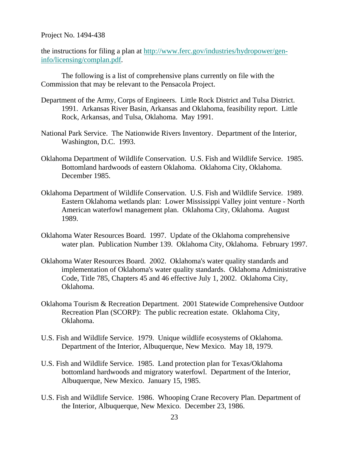the instructions for filing a plan at http://www.ferc.gov/industries/hydropower/geninfo/licensing/complan.pdf.

The following is a list of comprehensive plans currently on file with the Commission that may be relevant to the Pensacola Project.

- Department of the Army, Corps of Engineers. Little Rock District and Tulsa District. 1991. Arkansas River Basin, Arkansas and Oklahoma, feasibility report. Little Rock, Arkansas, and Tulsa, Oklahoma. May 1991.
- National Park Service. The Nationwide Rivers Inventory. Department of the Interior, Washington, D.C. 1993.
- Oklahoma Department of Wildlife Conservation. U.S. Fish and Wildlife Service. 1985. Bottomland hardwoods of eastern Oklahoma. Oklahoma City, Oklahoma. December 1985.
- Oklahoma Department of Wildlife Conservation. U.S. Fish and Wildlife Service. 1989. Eastern Oklahoma wetlands plan: Lower Mississippi Valley joint venture - North American waterfowl management plan. Oklahoma City, Oklahoma. August 1989.
- Oklahoma Water Resources Board. 1997. Update of the Oklahoma comprehensive water plan. Publication Number 139. Oklahoma City, Oklahoma. February 1997.
- Oklahoma Water Resources Board. 2002. Oklahoma's water quality standards and implementation of Oklahoma's water quality standards. Oklahoma Administrative Code, Title 785, Chapters 45 and 46 effective July 1, 2002. Oklahoma City, Oklahoma.
- Oklahoma Tourism & Recreation Department. 2001 Statewide Comprehensive Outdoor Recreation Plan (SCORP): The public recreation estate. Oklahoma City, Oklahoma.
- U.S. Fish and Wildlife Service. 1979. Unique wildlife ecosystems of Oklahoma. Department of the Interior, Albuquerque, New Mexico. May 18, 1979.
- U.S. Fish and Wildlife Service. 1985. Land protection plan for Texas/Oklahoma bottomland hardwoods and migratory waterfowl. Department of the Interior, Albuquerque, New Mexico. January 15, 1985.
- U.S. Fish and Wildlife Service. 1986. Whooping Crane Recovery Plan. Department of the Interior, Albuquerque, New Mexico. December 23, 1986.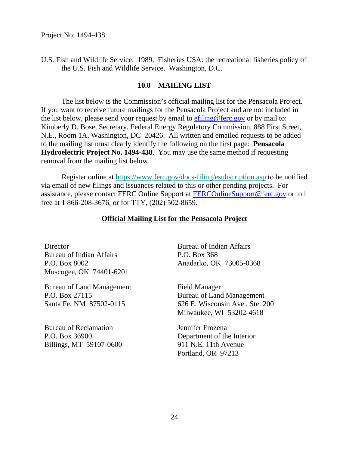U.S. Fish and Wildlife Service. 1989. Fisheries USA: the recreational fisheries policy of the U.S. Fish and Wildlife Service. Washington, D.C.

#### **10.0 MAILING LIST**

The list below is the Commission's official mailing list for the Pensacola Project. If you want to receive future mailings for the Pensacola Project and are not included in the list below, please send your request by email to  $\frac{e\sin\theta}{e\cos\theta}$  ferc.gov or by mail to: Kimberly D. Bose, Secretary, Federal Energy Regulatory Commission, 888 First Street, N.E., Room 1A, Washington, DC 20426. All written and emailed requests to be added to the mailing list must clearly identify the following on the first page: **Pensacola Hydroelectric Project No. 1494-438**. You may use the same method if requesting removal from the mailing list below.

Register online at https://www.ferc.gov/docs-filing/esubscription.asp to be notified via email of new filings and issuances related to this or other pending projects. For assistance, please contact FERC Online Support at FERCOnlineSupport@ferc.gov or toll free at 1 866-208-3676, or for TTY, (202) 502-8659.

### **Official Mailing List for the Pensacola Project**

**Director** Bureau of Indian Affairs P.O. Box 8002 Muscogee, OK 74401-6201

Bureau of Land Management P.O. Box 27115 Santa Fe, NM 87502-0115

Bureau of Reclamation P.O. Box 36900 Billings, MT 59107-0600 Bureau of Indian Affairs P.O. Box 368 Anadarko, OK 73005-0368

Field Manager Bureau of Land Management 626 E. Wisconsin Ave., Ste. 200 Milwaukee, WI 53202-4618

Jennifer Frozena Department of the Interior 911 N.E. 11th Avenue Portland, OR 97213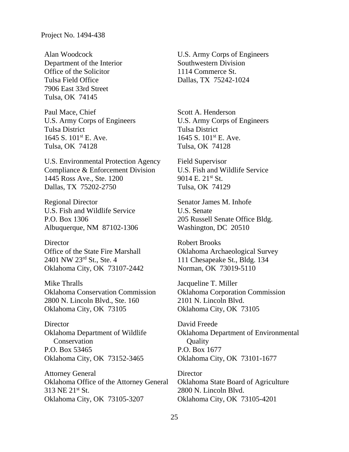Alan Woodcock Department of the Interior Office of the Solicitor Tulsa Field Office 7906 East 33rd Street Tulsa, OK 74145

Paul Mace, Chief U.S. Army Corps of Engineers Tulsa District 1645 S. 101st E. Ave. Tulsa, OK 74128

U.S. Environmental Protection Agency Compliance & Enforcement Division 1445 Ross Ave., Ste. 1200 Dallas, TX 75202-2750

Regional Director U.S. Fish and Wildlife Service P.O. Box 1306 Albuquerque, NM 87102-1306

**Director** Office of the State Fire Marshall 2401 NW 23rd St., Ste. 4 Oklahoma City, OK 73107-2442

Mike Thralls Oklahoma Conservation Commission 2800 N. Lincoln Blvd., Ste. 160 Oklahoma City, OK 73105

**Director** Oklahoma Department of Wildlife Conservation P.O. Box 53465 Oklahoma City, OK 73152-3465

Attorney General Oklahoma Office of the Attorney General 313 NE 21st St. Oklahoma City, OK 73105-3207

U.S. Army Corps of Engineers Southwestern Division 1114 Commerce St. Dallas, TX 75242-1024

Scott A. Henderson U.S. Army Corps of Engineers Tulsa District 1645 S. 101st E. Ave. Tulsa, OK 74128

Field Supervisor U.S. Fish and Wildlife Service 9014 E. 21st St. Tulsa, OK 74129

Senator James M. Inhofe U.S. Senate 205 Russell Senate Office Bldg. Washington, DC 20510

Robert Brooks Oklahoma Archaeological Survey 111 Chesapeake St., Bldg. 134 Norman, OK 73019-5110

Jacqueline T. Miller Oklahoma Corporation Commission 2101 N. Lincoln Blvd. Oklahoma City, OK 73105

David Freede Oklahoma Department of Environmental **Quality** P.O. Box 1677 Oklahoma City, OK 73101-1677

**Director** Oklahoma State Board of Agriculture 2800 N. Lincoln Blvd. Oklahoma City, OK 73105-4201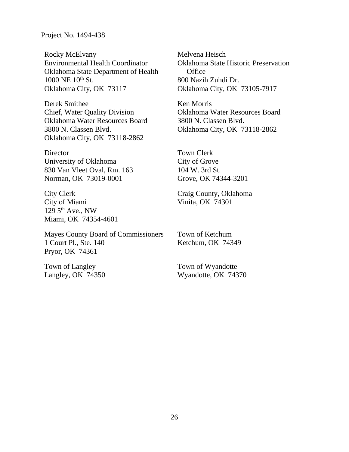Rocky McElvany Environmental Health Coordinator Oklahoma State Department of Health 1000 NE 10<sup>th</sup> St. Oklahoma City, OK 73117

Derek Smithee Chief, Water Quality Division Oklahoma Water Resources Board 3800 N. Classen Blvd. Oklahoma City, OK 73118-2862

**Director** University of Oklahoma 830 Van Vleet Oval, Rm. 163 Norman, OK 73019-0001

City Clerk City of Miami 129  $5<sup>th</sup>$  Ave., NW Miami, OK 74354-4601

Mayes County Board of Commissioners 1 Court Pl., Ste. 140 Pryor, OK 74361

Town of Langley Langley, OK 74350 Melvena Heisch Oklahoma State Historic Preservation **Office** 800 Nazih Zuhdi Dr. Oklahoma City, OK 73105-7917

Ken Morris Oklahoma Water Resources Board 3800 N. Classen Blvd. Oklahoma City, OK 73118-2862

Town Clerk City of Grove 104 W. 3rd St. Grove, OK 74344-3201

Craig County, Oklahoma Vinita, OK 74301

Town of Ketchum Ketchum, OK 74349

Town of Wyandotte Wyandotte, OK 74370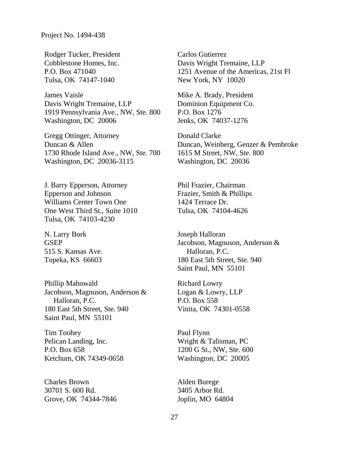Rodger Tucker, President Cobblestone Homes, Inc. P.O. Box 471040 Tulsa, OK 74147-1040

James Vaisle Davis Wright Tremaine, LLP 1919 Pennsylvania Ave., NW, Ste. 800 Washington, DC 20006

Gregg Ottinger, Attorney Duncan & Allen 1730 Rhode Island Ave., NW, Ste. 700 Washington, DC 20036-3115

J. Barry Epperson, Attorney Epperson and Johnson Williams Center Town One One West Third St., Suite 1010 Tulsa, OK 74103-4230

N. Larry Bork GSEP 515 S. Kansas Ave. Topeka, KS 66603

Phillip Mahowald Jacobson, Magnuson, Anderson & Halloran, P.C. 180 East 5th Street, Ste. 940 Saint Paul, MN 55101

Tim Toohey Pelican Landing, Inc. P.O. Box 658 Ketchum, OK 74349-0658

Charles Brown 30701 S. 600 Rd. Grove, OK 74344-7846 Carlos Gutierrez Davis Wright Tremaine, LLP 1251 Avenue of the Americas, 21st Fl New York, NY 10020

Mike A. Brady, President Dominion Equipment Co. P.O. Box 1276 Jenks, OK 74037-1276

Donald Clarke Duncan, Weinberg, Genzer & Pembroke 1615 M Street, NW, Ste. 800 Washington, DC 20036

Phil Frazier, Chairman Frazier, Smith & Phillips 1424 Terrace Dr. Tulsa, OK 74104-4626

Joseph Halloran Jacobson, Magnuson, Anderson & Halloran, P.C. 180 East 5th Street, Ste. 940 Saint Paul, MN 55101

Richard Lowry Logan & Lowry, LLP P.O. Box 558 Vinita, OK 74301-0558

Paul Flynn Wright & Talisman, PC 1200 G St., NW, Ste. 600 Washington, DC 20005

Alden Burege 3405 Arbor Rd. Joplin, MO 64804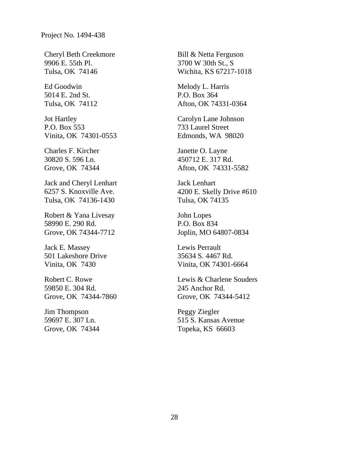Cheryl Beth Creekmore 9906 E. 55th Pl. Tulsa, OK 74146

Ed Goodwin 5014 E. 2nd St. Tulsa, OK 74112

Jot Hartley P.O. Box 553 Vinita, OK 74301-0553

Charles F. Kircher 30820 S. 596 Ln. Grove, OK 74344

Jack and Cheryl Lenhart 6257 S. Knoxville Ave. Tulsa, OK 74136-1430

Robert & Yana Livesay 58990 E. 290 Rd. Grove, OK 74344-7712

Jack E. Massey 501 Lakeshore Drive Vinita, OK 7430

Robert C. Rowe 59850 E. 304 Rd. Grove, OK 74344-7860

Jim Thompson 59697 E. 307 Ln. Grove, OK 74344 Bill & Netta Ferguson 3700 W 30th St., S Wichita, KS 67217-1018

Melody L. Harris P.O. Box 364 Afton, OK 74331-0364

Carolyn Lane Johnson 733 Laurel Street Edmonds, WA 98020

Janette O. Layne 450712 E. 317 Rd. Afton, OK 74331-5582

Jack Lenhart 4200 E. Skelly Drive #610 Tulsa, OK 74135

John Lopes P.O. Box 834 Joplin, MO 64807-0834

Lewis Perrault 35634 S. 4467 Rd. Vinita, OK 74301-6664

Lewis & Charlene Souders 245 Anchor Rd. Grove, OK 74344-5412

Peggy Ziegler 515 S. Kansas Avenue Topeka, KS 66603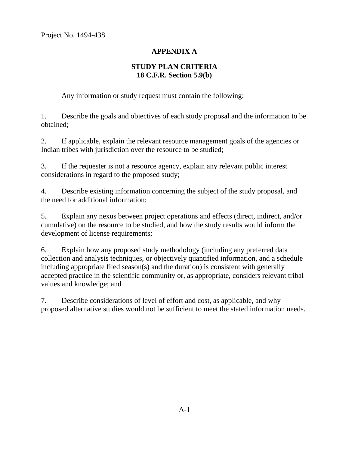# **APPENDIX A**

# **STUDY PLAN CRITERIA 18 C.F.R. Section 5.9(b)**

Any information or study request must contain the following:

1. Describe the goals and objectives of each study proposal and the information to be obtained;

2. If applicable, explain the relevant resource management goals of the agencies or Indian tribes with jurisdiction over the resource to be studied;

3. If the requester is not a resource agency, explain any relevant public interest considerations in regard to the proposed study;

4. Describe existing information concerning the subject of the study proposal, and the need for additional information;

5. Explain any nexus between project operations and effects (direct, indirect, and/or cumulative) on the resource to be studied, and how the study results would inform the development of license requirements;

6. Explain how any proposed study methodology (including any preferred data collection and analysis techniques, or objectively quantified information, and a schedule including appropriate filed season(s) and the duration) is consistent with generally accepted practice in the scientific community or, as appropriate, considers relevant tribal values and knowledge; and

7. Describe considerations of level of effort and cost, as applicable, and why proposed alternative studies would not be sufficient to meet the stated information needs.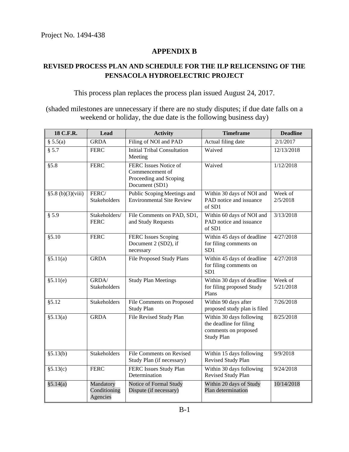### **APPENDIX B**

# **REVISED PROCESS PLAN AND SCHEDULE FOR THE ILP RELICENSING OF THE PENSACOLA HYDROELECTRIC PROJECT**

This process plan replaces the process plan issued August 24, 2017.

(shaded milestones are unnecessary if there are no study disputes; if due date falls on a weekend or holiday, the due date is the following business day)

| 18 C.F.R.        | <b>Lead</b>                           | <b>Activity</b>                                                                      | <b>Timeframe</b>                                                                                 | <b>Deadline</b>      |
|------------------|---------------------------------------|--------------------------------------------------------------------------------------|--------------------------------------------------------------------------------------------------|----------------------|
| § 5.5(a)         | <b>GRDA</b>                           | Filing of NOI and PAD                                                                | Actual filing date                                                                               | 2/1/2017             |
| § 5.7            | <b>FERC</b>                           | <b>Initial Tribal Consultation</b><br>Meeting                                        | Waived                                                                                           | 12/13/2018           |
| § 5.8            | <b>FERC</b>                           | FERC Issues Notice of<br>Commencement of<br>Proceeding and Scoping<br>Document (SD1) | Waived                                                                                           | 1/12/2018            |
| §5.8(b)(3)(viii) | FERC/<br>Stakeholders                 | Public Scoping Meetings and<br><b>Environmental Site Review</b>                      | Within 30 days of NOI and<br>PAD notice and issuance<br>of SD1                                   | Week of<br>2/5/2018  |
| § 5.9            | Stakeholders/<br><b>FERC</b>          | File Comments on PAD, SD1,<br>and Study Requests                                     | Within 60 days of NOI and<br>PAD notice and issuance<br>of SD1                                   | 3/13/2018            |
| \$5.10           | <b>FERC</b>                           | FERC Issues Scoping<br>Document 2 (SD2), if<br>necessary                             | Within 45 days of deadline<br>for filing comments on<br>SD1                                      | 4/27/2018            |
| §5.11(a)         | <b>GRDA</b>                           | File Proposed Study Plans                                                            | Within 45 days of deadline<br>for filing comments on<br>SD1                                      | 4/27/2018            |
| §5.11(e)         | GRDA/<br><b>Stakeholders</b>          | <b>Study Plan Meetings</b>                                                           | Within 30 days of deadline<br>for filing proposed Study<br>Plans                                 | Week of<br>5/21/2018 |
| \$5.12           | <b>Stakeholders</b>                   | File Comments on Proposed<br><b>Study Plan</b>                                       | Within 90 days after<br>proposed study plan is filed                                             | 7/26/2018            |
| §5.13(a)         | <b>GRDA</b>                           | File Revised Study Plan                                                              | Within 30 days following<br>the deadline for filing<br>comments on proposed<br><b>Study Plan</b> | 8/25/2018            |
| §5.13(b)         | Stakeholders                          | <b>File Comments on Revised</b><br>Study Plan (if necessary)                         | Within 15 days following<br>Revised Study Plan                                                   | 9/9/2018             |
| §5.13(c)         | <b>FERC</b>                           | FERC Issues Study Plan<br>Determination                                              | Within 30 days following<br>Revised Study Plan                                                   | 9/24/2018            |
| § 5.14(a)        | Mandatory<br>Conditioning<br>Agencies | Notice of Formal Study<br>Dispute (if necessary)                                     | Within 20 days of Study<br>Plan determination                                                    | 10/14/2018           |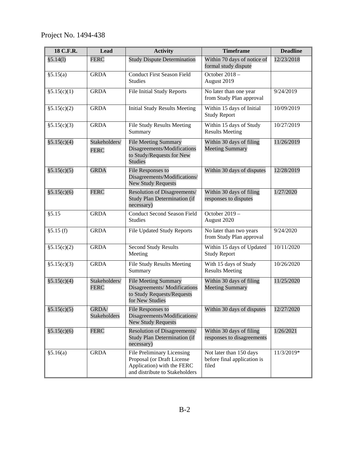| 18 C.F.R.    | Lead                         | <b>Activity</b>                                                                                                          | <b>Timeframe</b>                                                | <b>Deadline</b> |
|--------------|------------------------------|--------------------------------------------------------------------------------------------------------------------------|-----------------------------------------------------------------|-----------------|
| §5.14(1)     | <b>FERC</b>                  | <b>Study Dispute Determination</b>                                                                                       | Within 70 days of notice of<br>formal study dispute             | 12/23/2018      |
| §5.15(a)     | <b>GRDA</b>                  | <b>Conduct First Season Field</b><br><b>Studies</b>                                                                      | October 2018 -<br>August 2019                                   |                 |
| §5.15(c)(1)  | <b>GRDA</b>                  | <b>File Initial Study Reports</b>                                                                                        | No later than one year<br>from Study Plan approval              | 9/24/2019       |
| §5.15(c)(2)  | <b>GRDA</b>                  | <b>Initial Study Results Meeting</b>                                                                                     | Within 15 days of Initial<br><b>Study Report</b>                | 10/09/2019      |
| §5.15(c)(3)  | <b>GRDA</b>                  | File Study Results Meeting<br>Summary                                                                                    | Within 15 days of Study<br><b>Results Meeting</b>               | 10/27/2019      |
| \$5.15(c)(4) | Stakeholders/<br><b>FERC</b> | <b>File Meeting Summary</b><br>Disagreements/Modifications<br>to Study/Requests for New<br><b>Studies</b>                | Within 30 days of filing<br><b>Meeting Summary</b>              | 11/26/2019      |
| \$5.15(c)(5) | <b>GRDA</b>                  | File Responses to<br>Disagreements/Modifications/<br><b>New Study Requests</b>                                           | Within 30 days of disputes                                      | 12/28/2019      |
| \$5.15(c)(6) | <b>FERC</b>                  | Resolution of Disagreements/<br>Study Plan Determination (if<br>necessary)                                               | Within 30 days of filing<br>responses to disputes               | 1/27/2020       |
| §5.15        | <b>GRDA</b>                  | <b>Conduct Second Season Field</b><br><b>Studies</b>                                                                     | October 2019 -<br>August 2020                                   |                 |
| \$5.15(f)    | <b>GRDA</b>                  | <b>File Updated Study Reports</b>                                                                                        | No later than two years<br>from Study Plan approval             | 9/24/2020       |
| §5.15(c)(2)  | <b>GRDA</b>                  | Second Study Results<br>Meeting                                                                                          | Within 15 days of Updated<br><b>Study Report</b>                | 10/11/2020      |
| §5.15(c)(3)  | <b>GRDA</b>                  | File Study Results Meeting<br>Summary                                                                                    | With 15 days of Study<br><b>Results Meeting</b>                 | 10/26/2020      |
| §5.15(c)(4)  | Stakeholders/<br><b>FERC</b> | <b>File Meeting Summary</b><br>Disagreements/Modifications<br>to Study Requests/Requests<br>for New Studies              | Within 30 days of filing<br><b>Meeting Summary</b>              | 11/25/2020      |
| §5.15(c)(5)  | GRDA/<br>Stakeholders        | File Responses to<br>Disagreements/Modifications/<br><b>New Study Requests</b>                                           | Within 30 days of disputes                                      | 12/27/2020      |
| \$5.15(c)(6) | <b>FERC</b>                  | Resolution of Disagreements/<br>Study Plan Determination (if<br>necessary)                                               | Within 30 days of filing<br>responses to disagreements          | 1/26/2021       |
| §5.16(a)     | <b>GRDA</b>                  | File Preliminary Licensing<br>Proposal (or Draft License<br>Application) with the FERC<br>and distribute to Stakeholders | Not later than 150 days<br>before final application is<br>filed | 11/3/2019*      |